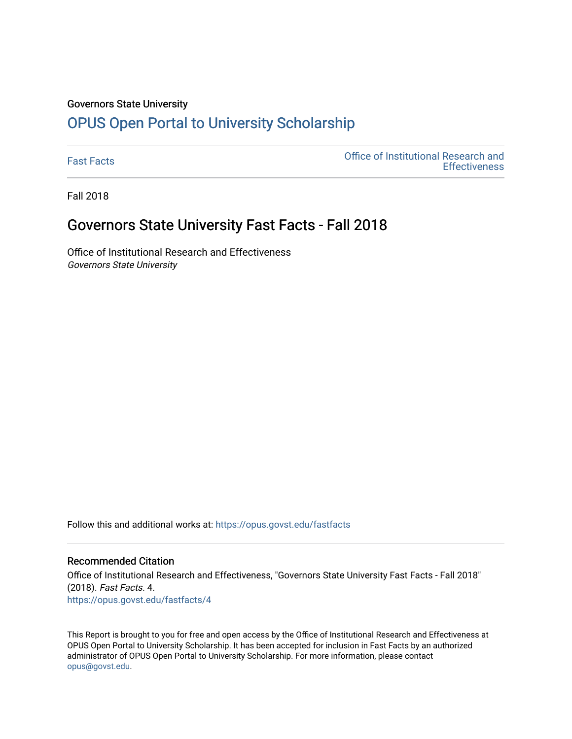#### Governors State University

# [OPUS Open Portal to University Scholarship](https://opus.govst.edu/)

[Fast Facts](https://opus.govst.edu/fastfacts) [Office of Institutional Research and](https://opus.govst.edu/ir)  **Effectiveness** 

Fall 2018

### Governors State University Fast Facts - Fall 2018

Office of Institutional Research and Effectiveness Governors State University

Follow this and additional works at: [https://opus.govst.edu/fastfacts](https://opus.govst.edu/fastfacts?utm_source=opus.govst.edu%2Ffastfacts%2F4&utm_medium=PDF&utm_campaign=PDFCoverPages)

### Recommended Citation

Office of Institutional Research and Effectiveness, "Governors State University Fast Facts - Fall 2018" (2018). Fast Facts. 4. [https://opus.govst.edu/fastfacts/4](https://opus.govst.edu/fastfacts/4?utm_source=opus.govst.edu%2Ffastfacts%2F4&utm_medium=PDF&utm_campaign=PDFCoverPages)

This Report is brought to you for free and open access by the Office of Institutional Research and Effectiveness at OPUS Open Portal to University Scholarship. It has been accepted for inclusion in Fast Facts by an authorized administrator of OPUS Open Portal to University Scholarship. For more information, please contact [opus@govst.edu](mailto:opus@govst.edu).